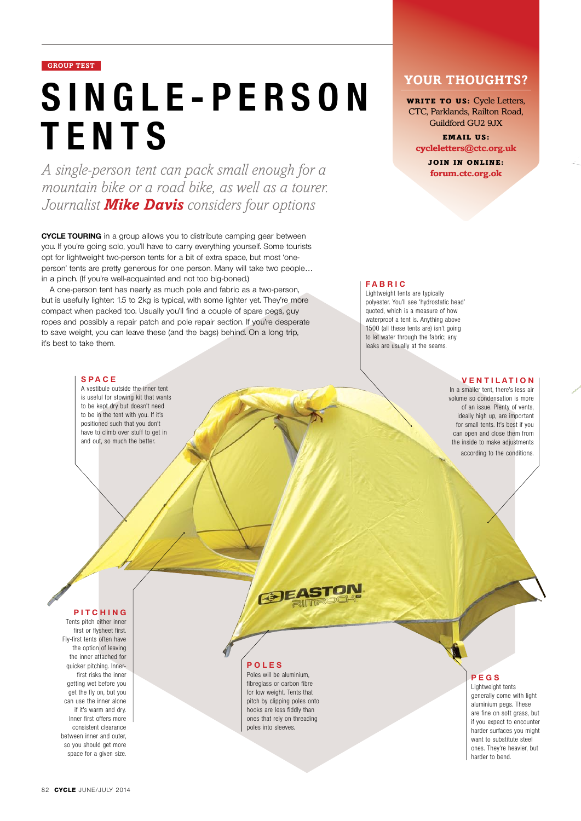# **GROUP TEST**

# **s i n g l e - p e r s o n tents**

*A single-person tent can pack small enough for a mountain bike or a road bike, as well as a tourer. Journalist Mike Davis considers four options*

**Cycle touring** in a group allows you to distribute camping gear between you. If you're going solo, you'll have to carry everything yourself. Some tourists opt for lightweight two-person tents for a bit of extra space, but most 'oneperson' tents are pretty generous for one person. Many will take two people… in a pinch. (If you're well-acquainted and not too big-boned.)

A one-person tent has nearly as much pole and fabric as a two-person, but is usefully lighter: 1.5 to 2kg is typical, with some lighter yet. They're more compact when packed too. Usually you'll find a couple of spare pegs, guy ropes and possibly a repair patch and pole repair section. If you're desperate to save weight, you can leave these (and the bags) behind. On a long trip, it's best to take them.

#### **Sp ace**

A vestibule outside the inner tent is useful for stowing kit that wants to be kept dry but doesn't need to be in the tent with you. If it's positioned such that you don't have to climb over stuff to get in and out, so much the better.

# YOUR THOUGHTS?

**WRITE TO US:** Cycle Letters, CTC, Parklands, Railton Road, Guildford GU2 9JX

Email us: **cycleletters@ctc.org.uk**

> JOIN IN ONLINE: **forum.ctc.org.ok**

# **Fabric**

Lightweight tents are typically polyester. You'll see 'hydrostatic head' quoted, which is a measure of how waterproof a tent is. Anything above 1500 (all these tents are) isn't going to let water through the fabric; any leaks are usually at the seams.

# **Ventilation**

In a smaller tent, there's less air volume so condensation is more of an issue. Plenty of vents, ideally high up, are important for small tents. It's best if you can open and close them from the inside to make adjustments according to the conditions.

## **Pitching**

Tents pitch either inner first or flysheet first. Fly-first tents often have the option of leaving the inner attached for quicker pitching. Innerfirst risks the inner getting wet before you get the fly on, but you can use the inner alone if it's warm and dry. Inner first offers more consistent clearance between inner and outer, so you should get more space for a given size.

**@EASTO** 

## **Poles**

Poles will be aluminium, fibreglass or carbon fibre for low weight. Tents that pitch by clipping poles onto hooks are less fiddly than ones that rely on threading poles into sleeves.

# **Pegs**

Lightweight tents generally come with light aluminium pegs. These are fine on soft grass, but if you expect to encounter harder surfaces you might want to substitute steel ones. They're heavier, but harder to bend.